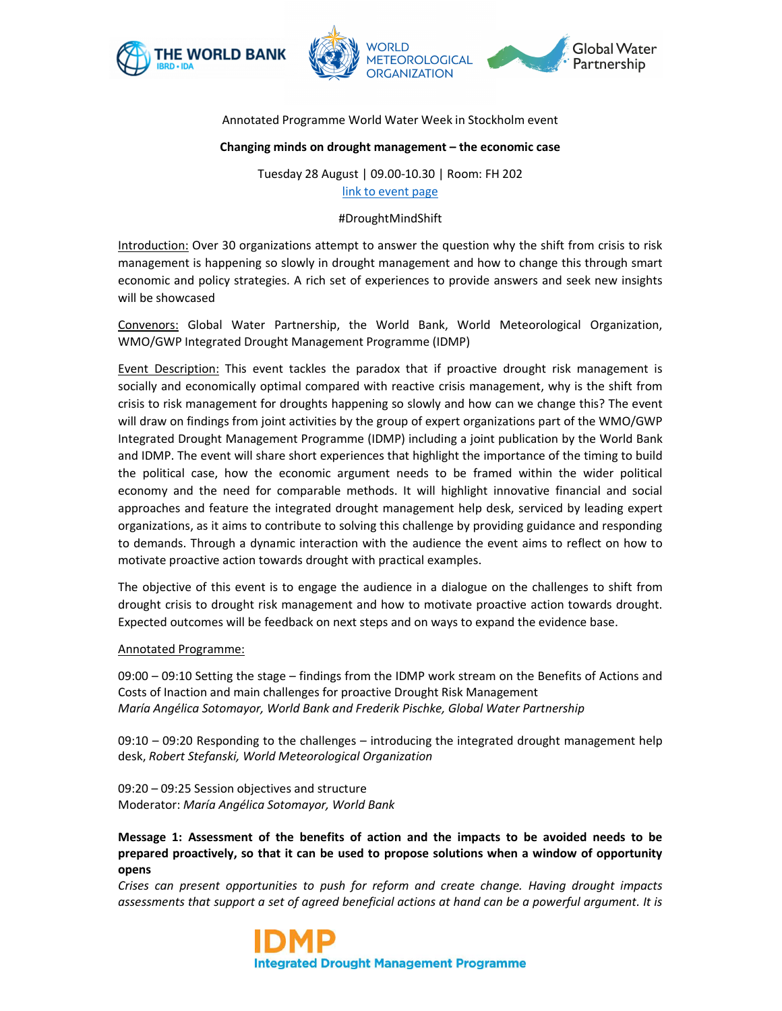



## Annotated Programme World Water Week in Stockholm event

### **Changing minds on drought management – the economic case**

Tuesday 28 August | 09.00-10.30 | Room: FH 202 link to event page

### #DroughtMindShift

Introduction: Over 30 organizations attempt to answer the question why the shift from crisis to risk management is happening so slowly in drought management and how to change this through smart economic and policy strategies. A rich set of experiences to provide answers and seek new insights will be showcased

Convenors: Global Water Partnership, the World Bank, World Meteorological Organization, WMO/GWP Integrated Drought Management Programme (IDMP)

Event Description: This event tackles the paradox that if proactive drought risk management is socially and economically optimal compared with reactive crisis management, why is the shift from crisis to risk management for droughts happening so slowly and how can we change this? The event will draw on findings from joint activities by the group of expert organizations part of the WMO/GWP Integrated Drought Management Programme (IDMP) including a joint publication by the World Bank and IDMP. The event will share short experiences that highlight the importance of the timing to build the political case, how the economic argument needs to be framed within the wider political economy and the need for comparable methods. It will highlight innovative financial and social approaches and feature the integrated drought management help desk, serviced by leading expert organizations, as it aims to contribute to solving this challenge by providing guidance and responding to demands. Through a dynamic interaction with the audience the event aims to reflect on how to motivate proactive action towards drought with practical examples.

The objective of this event is to engage the audience in a dialogue on the challenges to shift from drought crisis to drought risk management and how to motivate proactive action towards drought. Expected outcomes will be feedback on next steps and on ways to expand the evidence base.

#### Annotated Programme:

09:00 – 09:10 Setting the stage – findings from the IDMP work stream on the Benefits of Actions and Costs of Inaction and main challenges for proactive Drought Risk Management *María Angélica Sotomayor, World Bank and Frederik Pischke, Global Water Partnership*

09:10 – 09:20 Responding to the challenges – introducing the integrated drought management help desk, *Robert Stefanski, World Meteorological Organization*

09:20 – 09:25 Session objectives and structure Moderator: *María Angélica Sotomayor, World Bank* 

**Message 1: Assessment of the benefits of action and the impacts to be avoided needs to be prepared proactively, so that it can be used to propose solutions when a window of opportunity opens** 

*Crises can present opportunities to push for reform and create change. Having drought impacts assessments that support a set of agreed beneficial actions at hand can be a powerful argument. It is*